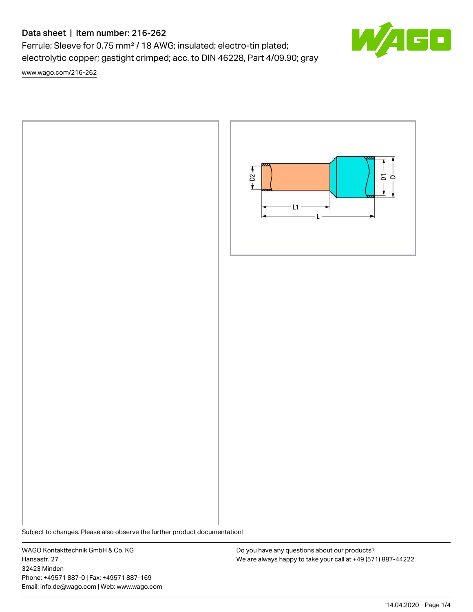# Data sheet | Item number: 216-262

Ferrule; Sleeve for 0.75 mm² / 18 AWG; insulated; electro-tin plated; electrolytic copper; gastight crimped; acc. to DIN 46228, Part 4/09.90; gray

[www.wago.com/216-262](http://www.wago.com/216-262)



Subject to changes. Please also observe the further product documentation!

WAGO Kontakttechnik GmbH & Co. KG Hansastr. 27 32423 Minden Phone: +49571 887-0 | Fax: +49571 887-169 Email: info.de@wago.com | Web: www.wago.com

Do you have any questions about our products? We are always happy to take your call at +49 (571) 887-44222.

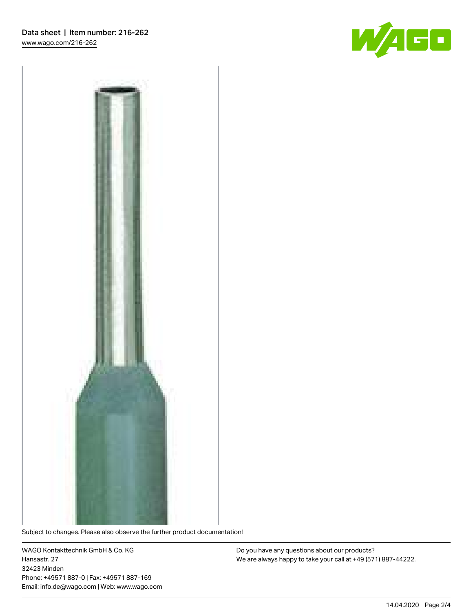



Subject to changes. Please also observe the further product documentation!

WAGO Kontakttechnik GmbH & Co. KG Hansastr. 27 32423 Minden Phone: +49571 887-0 | Fax: +49571 887-169 Email: info.de@wago.com | Web: www.wago.com

Do you have any questions about our products? We are always happy to take your call at +49 (571) 887-44222.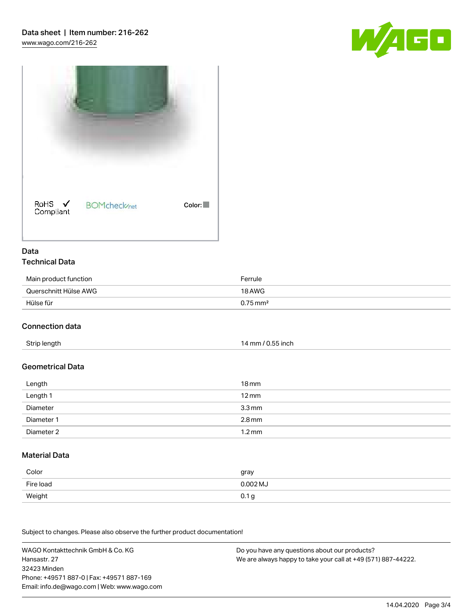



#### Data Technical Data

| Main product function | Ferrule                |
|-----------------------|------------------------|
| Querschnitt Hülse AWG | 18 AWG                 |
| Hülse für             | $0.75 \,\mathrm{mm}^2$ |

#### Connection data

## Geometrical Data

| Length     | $18 \,\mathrm{mm}$  |
|------------|---------------------|
| Length 1   | $12 \,\mathrm{mm}$  |
| Diameter   | $3.3 \,\mathrm{mm}$ |
| Diameter 1 | $2.8 \,\mathrm{mm}$ |
| Diameter 2 | $1.2 \,\mathrm{mm}$ |

#### Material Data

| Color     | gray             |
|-----------|------------------|
| Fire load | $0.002$ MJ       |
| Weight    | 0.1 <sub>g</sub> |

Subject to changes. Please also observe the further product documentation!

WAGO Kontakttechnik GmbH & Co. KG Hansastr. 27 32423 Minden Phone: +49571 887-0 | Fax: +49571 887-169 Email: info.de@wago.com | Web: www.wago.com Do you have any questions about our products? We are always happy to take your call at +49 (571) 887-44222.